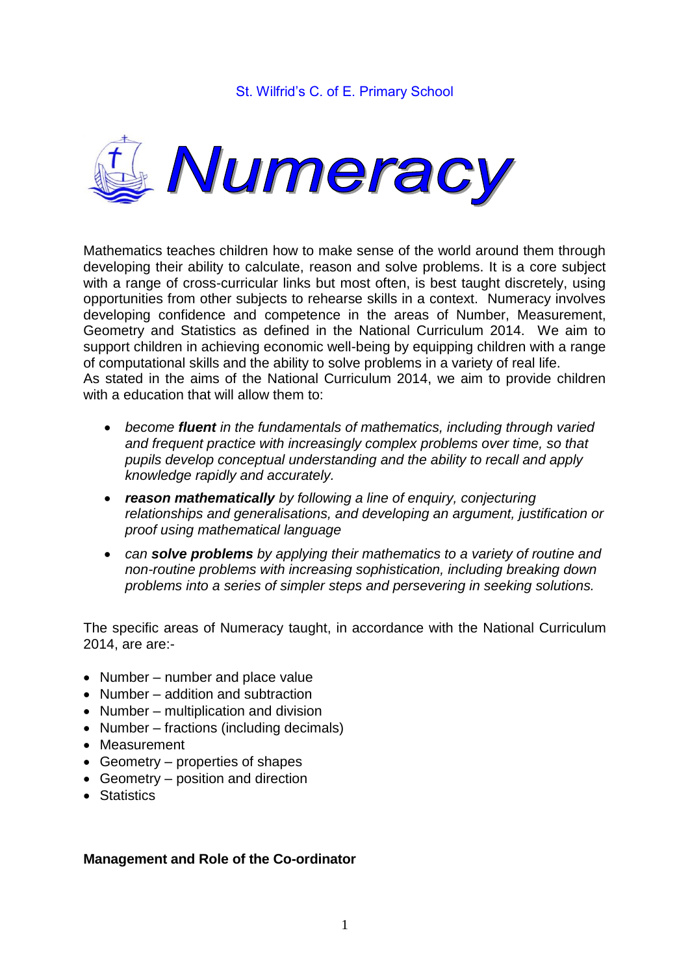

Mathematics teaches children how to make sense of the world around them through developing their ability to calculate, reason and solve problems. It is a core subject with a range of cross-curricular links but most often, is best taught discretely, using opportunities from other subjects to rehearse skills in a context. Numeracy involves developing confidence and competence in the areas of Number, Measurement, Geometry and Statistics as defined in the National Curriculum 2014. We aim to support children in achieving economic well-being by equipping children with a range of computational skills and the ability to solve problems in a variety of real life. As stated in the aims of the National Curriculum 2014, we aim to provide children with a education that will allow them to:

- *become fluent in the fundamentals of mathematics, including through varied and frequent practice with increasingly complex problems over time, so that pupils develop conceptual understanding and the ability to recall and apply knowledge rapidly and accurately.*
- *reason mathematically by following a line of enquiry, conjecturing relationships and generalisations, and developing an argument, justification or proof using mathematical language*
- *can solve problems by applying their mathematics to a variety of routine and non-routine problems with increasing sophistication, including breaking down problems into a series of simpler steps and persevering in seeking solutions.*

The specific areas of Numeracy taught, in accordance with the National Curriculum 2014, are are:-

- $\bullet$  Number number and place value
- Number addition and subtraction
- Number multiplication and division
- Number fractions (including decimals)
- Measurement
- Geometry properties of shapes
- Geometry position and direction
- Statistics

#### **Management and Role of the Co-ordinator**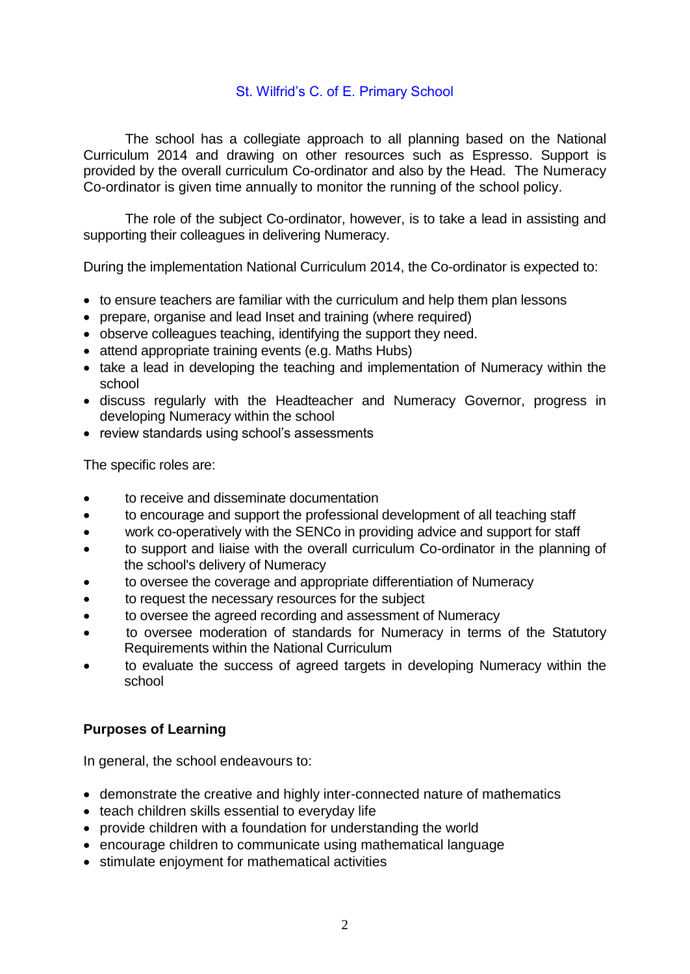The school has a collegiate approach to all planning based on the National Curriculum 2014 and drawing on other resources such as Espresso. Support is provided by the overall curriculum Co-ordinator and also by the Head. The Numeracy Co-ordinator is given time annually to monitor the running of the school policy.

The role of the subject Co-ordinator, however, is to take a lead in assisting and supporting their colleagues in delivering Numeracy.

During the implementation National Curriculum 2014, the Co-ordinator is expected to:

- to ensure teachers are familiar with the curriculum and help them plan lessons
- prepare, organise and lead Inset and training (where required)
- observe colleagues teaching, identifying the support they need.
- attend appropriate training events (e.g. Maths Hubs)
- take a lead in developing the teaching and implementation of Numeracy within the school
- discuss regularly with the Headteacher and Numeracy Governor, progress in developing Numeracy within the school
- review standards using school's assessments

The specific roles are:

- to receive and disseminate documentation
- to encourage and support the professional development of all teaching staff
- work co-operatively with the SENCo in providing advice and support for staff
- to support and liaise with the overall curriculum Co-ordinator in the planning of the school's delivery of Numeracy
- to oversee the coverage and appropriate differentiation of Numeracy
- to request the necessary resources for the subject
- to oversee the agreed recording and assessment of Numeracy
- to oversee moderation of standards for Numeracy in terms of the Statutory Requirements within the National Curriculum
- to evaluate the success of agreed targets in developing Numeracy within the school

## **Purposes of Learning**

In general, the school endeavours to:

- demonstrate the creative and highly inter-connected nature of mathematics
- teach children skills essential to everyday life
- provide children with a foundation for understanding the world
- encourage children to communicate using mathematical language
- stimulate enjoyment for mathematical activities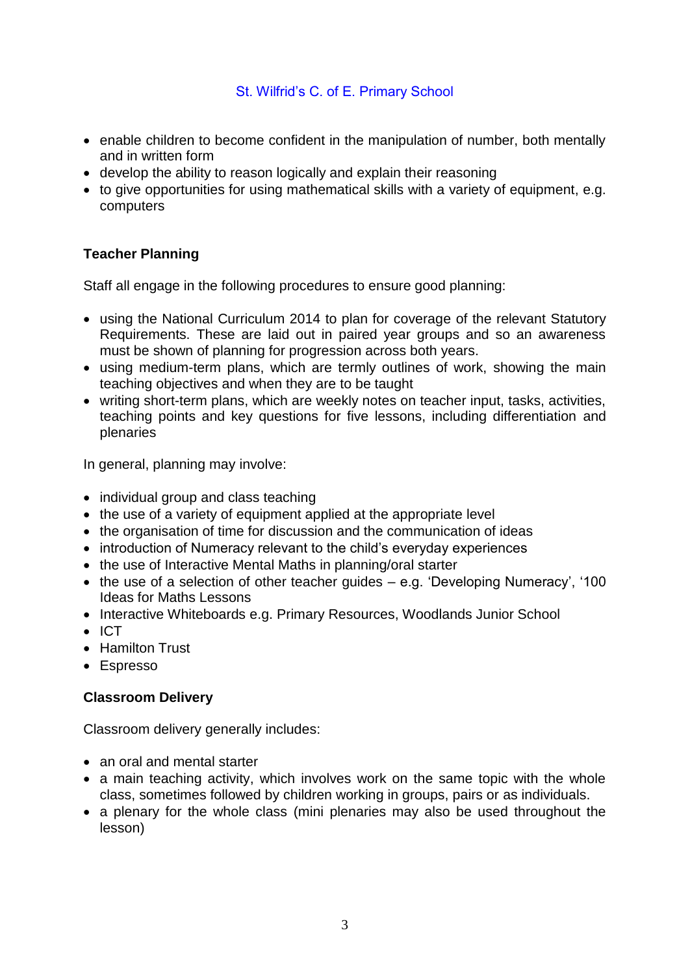- enable children to become confident in the manipulation of number, both mentally and in written form
- develop the ability to reason logically and explain their reasoning
- to give opportunities for using mathematical skills with a variety of equipment, e.g. computers

# **Teacher Planning**

Staff all engage in the following procedures to ensure good planning:

- using the National Curriculum 2014 to plan for coverage of the relevant Statutory Requirements. These are laid out in paired year groups and so an awareness must be shown of planning for progression across both years.
- using medium-term plans, which are termly outlines of work, showing the main teaching objectives and when they are to be taught
- writing short-term plans, which are weekly notes on teacher input, tasks, activities, teaching points and key questions for five lessons, including differentiation and plenaries

In general, planning may involve:

- individual group and class teaching
- the use of a variety of equipment applied at the appropriate level
- the organisation of time for discussion and the communication of ideas
- introduction of Numeracy relevant to the child's everyday experiences
- the use of Interactive Mental Maths in planning/oral starter
- $\bullet$  the use of a selection of other teacher guides  $-$  e.g. 'Developing Numeracy', '100 Ideas for Maths Lessons
- Interactive Whiteboards e.g. Primary Resources, Woodlands Junior School
- $\bullet$  ICT
- Hamilton Trust
- Espresso

## **Classroom Delivery**

Classroom delivery generally includes:

- an oral and mental starter
- a main teaching activity, which involves work on the same topic with the whole class, sometimes followed by children working in groups, pairs or as individuals.
- a plenary for the whole class (mini plenaries may also be used throughout the lesson)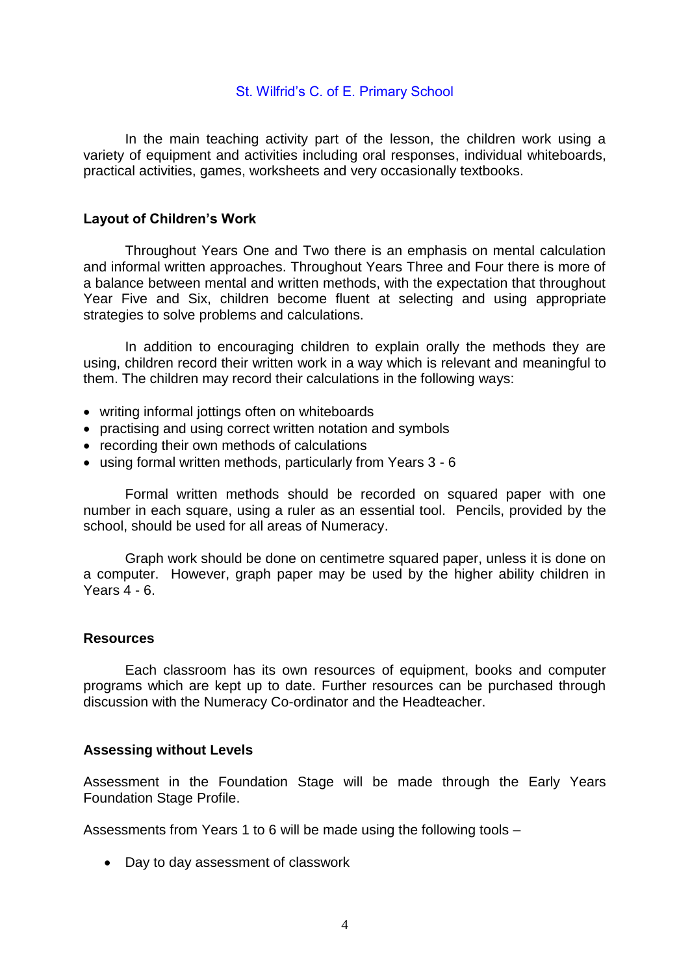In the main teaching activity part of the lesson, the children work using a variety of equipment and activities including oral responses, individual whiteboards, practical activities, games, worksheets and very occasionally textbooks.

#### **Layout of Children's Work**

Throughout Years One and Two there is an emphasis on mental calculation and informal written approaches. Throughout Years Three and Four there is more of a balance between mental and written methods, with the expectation that throughout Year Five and Six, children become fluent at selecting and using appropriate strategies to solve problems and calculations.

In addition to encouraging children to explain orally the methods they are using, children record their written work in a way which is relevant and meaningful to them. The children may record their calculations in the following ways:

- writing informal jottings often on whiteboards
- practising and using correct written notation and symbols
- recording their own methods of calculations
- using formal written methods, particularly from Years 3 6

Formal written methods should be recorded on squared paper with one number in each square, using a ruler as an essential tool. Pencils, provided by the school, should be used for all areas of Numeracy.

Graph work should be done on centimetre squared paper, unless it is done on a computer. However, graph paper may be used by the higher ability children in Years 4 - 6.

#### **Resources**

Each classroom has its own resources of equipment, books and computer programs which are kept up to date. Further resources can be purchased through discussion with the Numeracy Co-ordinator and the Headteacher.

#### **Assessing without Levels**

Assessment in the Foundation Stage will be made through the Early Years Foundation Stage Profile.

Assessments from Years 1 to 6 will be made using the following tools –

• Day to day assessment of classwork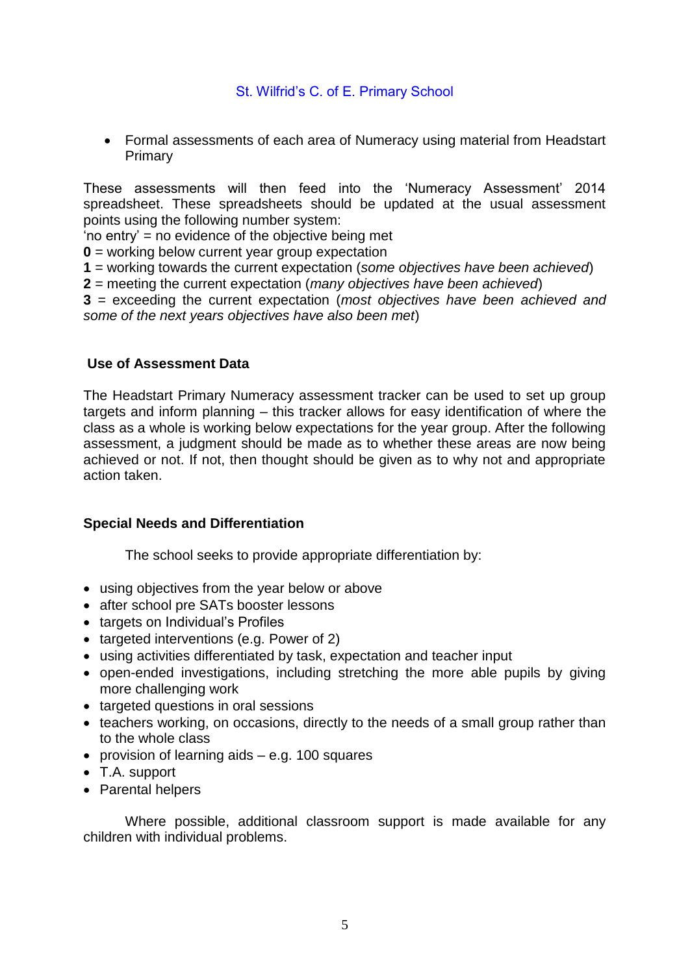Formal assessments of each area of Numeracy using material from Headstart Primary

These assessments will then feed into the 'Numeracy Assessment' 2014 spreadsheet. These spreadsheets should be updated at the usual assessment points using the following number system:

'no entry' = no evidence of the objective being met

**0** = working below current year group expectation

**1** = working towards the current expectation (*some objectives have been achieved*)

**2** = meeting the current expectation (*many objectives have been achieved*)

**3** = exceeding the current expectation (*most objectives have been achieved and some of the next years objectives have also been met*)

## **Use of Assessment Data**

The Headstart Primary Numeracy assessment tracker can be used to set up group targets and inform planning – this tracker allows for easy identification of where the class as a whole is working below expectations for the year group. After the following assessment, a judgment should be made as to whether these areas are now being achieved or not. If not, then thought should be given as to why not and appropriate action taken.

## **Special Needs and Differentiation**

The school seeks to provide appropriate differentiation by:

- using objectives from the year below or above
- after school pre SATs booster lessons
- targets on Individual's Profiles
- targeted interventions (e.g. Power of 2)
- using activities differentiated by task, expectation and teacher input
- open-ended investigations, including stretching the more able pupils by giving more challenging work
- targeted questions in oral sessions
- teachers working, on occasions, directly to the needs of a small group rather than to the whole class
- provision of learning aids e.g. 100 squares
- T.A. support
- Parental helpers

Where possible, additional classroom support is made available for any children with individual problems.